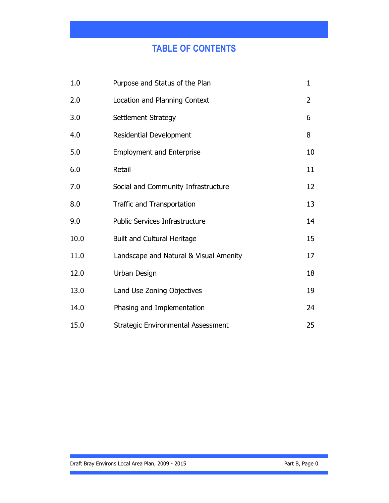# TABLE OF CONTENTS

| 1.0  | Purpose and Status of the Plan            | 1              |
|------|-------------------------------------------|----------------|
| 2.0  | Location and Planning Context             | $\overline{2}$ |
| 3.0  | Settlement Strategy                       | 6              |
| 4.0  | Residential Development                   | 8              |
| 5.0  | <b>Employment and Enterprise</b>          | 10             |
| 6.0  | Retail                                    | 11             |
| 7.0  | Social and Community Infrastructure       | 12             |
| 8.0  | <b>Traffic and Transportation</b>         | 13             |
| 9.0  | <b>Public Services Infrastructure</b>     | 14             |
| 10.0 | <b>Built and Cultural Heritage</b>        | 15             |
| 11.0 | Landscape and Natural & Visual Amenity    | 17             |
| 12.0 | Urban Design                              | 18             |
| 13.0 | Land Use Zoning Objectives                | 19             |
| 14.0 | Phasing and Implementation                | 24             |
| 15.0 | <b>Strategic Environmental Assessment</b> | 25             |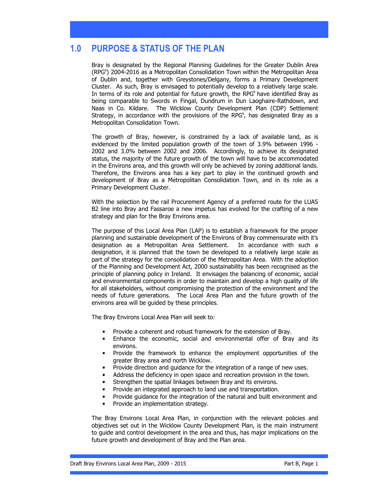## 1.0 PURPOSE & STATUS OF THE PLAN

Bray is designated by the Regional Planning Guidelines for the Greater Dublin Area (RPG<sup>s</sup>) 2004-2016 as a Metropolitan Consolidation Town within the Metropolitan Area of Dublin and, together with Greystones/Delgany, forms a Primary Development Cluster. As such, Bray is envisaged to potentially develop to a relatively large scale. In terms of its role and potential for future growth, the RPG<sup>s</sup> have identified Bray as being comparable to Swords in Fingal, Dundrum in Dun Laoghaire-Rathdown, and Naas in Co. Kildare. The Wicklow County Development Plan (CDP) Settlement Strategy, in accordance with the provisions of the RPG<sup>s</sup>, has designated Bray as a Metropolitan Consolidation Town.

The growth of Bray, however, is constrained by a lack of available land, as is evidenced by the limited population growth of the town of 3.9% between 1996 - 2002 and 3.0% between 2002 and 2006. Accordingly, to achieve its designated status, the majority of the future growth of the town will have to be accommodated in the Environs area, and this growth will only be achieved by zoning additional lands. Therefore, the Environs area has a key part to play in the continued growth and development of Bray as a Metropolitan Consolidation Town, and in its role as a Primary Development Cluster.

With the selection by the rail Procurement Agency of a preferred route for the LUAS B2 line into Bray and Fassaroe a new impetus has evolved for the crafting of a new strategy and plan for the Bray Environs area.

The purpose of this Local Area Plan (LAP) is to establish a framework for the proper planning and sustainable development of the Environs of Bray commensurate with it's designation as a Metropolitan Area Settlement. In accordance with such a designation, it is planned that the town be developed to a relatively large scale as part of the strategy for the consolidation of the Metropolitan Area. With the adoption of the Planning and Development Act, 2000 sustainability has been recognised as the principle of planning policy in Ireland. It envisages the balancing of economic, social and environmental components in order to maintain and develop a high quality of life for all stakeholders, without compromising the protection of the environment and the needs of future generations. The Local Area Plan and the future growth of the environs area will be guided by these principles.

The Bray Environs Local Area Plan will seek to:

- Provide a coherent and robust framework for the extension of Bray.
- Enhance the economic, social and environmental offer of Bray and its environs.
- Provide the framework to enhance the employment opportunities of the greater Bray area and north Wicklow.
- Provide direction and guidance for the integration of a range of new uses.
- Address the deficiency in open space and recreation provision in the town.
- Strengthen the spatial linkages between Bray and its environs.
- Provide an integrated approach to land use and transportation.
- Provide guidance for the integration of the natural and built environment and
- Provide an implementation strategy.

The Bray Environs Local Area Plan, in conjunction with the relevant policies and objectives set out in the Wicklow County Development Plan, is the main instrument to guide and control development in the area and thus, has major implications on the future growth and development of Bray and the Plan area.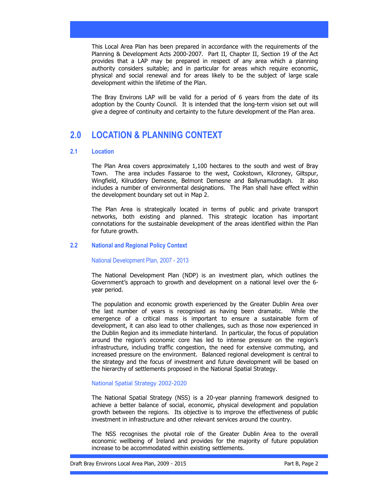This Local Area Plan has been prepared in accordance with the requirements of the Planning & Development Acts 2000-2007. Part II, Chapter II, Section 19 of the Act provides that a LAP may be prepared in respect of any area which a planning authority considers suitable; and in particular for areas which require economic, physical and social renewal and for areas likely to be the subject of large scale development within the lifetime of the Plan.

The Bray Environs LAP will be valid for a period of 6 years from the date of its adoption by the County Council. It is intended that the long-term vision set out will give a degree of continuity and certainty to the future development of the Plan area.

## 2.0 LOCATION & PLANNING CONTEXT

#### 2.1 Location

The Plan Area covers approximately 1,100 hectares to the south and west of Bray Town. The area includes Fassaroe to the west, Cookstown, Kilcroney, Giltspur, Wingfield, Kilruddery Demesne, Belmont Demesne and Ballynamuddagh. It also includes a number of environmental designations. The Plan shall have effect within the development boundary set out in Map 2.

The Plan Area is strategically located in terms of public and private transport networks, both existing and planned. This strategic location has important connotations for the sustainable development of the areas identified within the Plan for future growth.

### 2.2 National and Regional Policy Context

National Development Plan, 2007 - 2013

The National Development Plan (NDP) is an investment plan, which outlines the Government's approach to growth and development on a national level over the 6 year period.

The population and economic growth experienced by the Greater Dublin Area over the last number of years is recognised as having been dramatic. While the emergence of a critical mass is important to ensure a sustainable form of development, it can also lead to other challenges, such as those now experienced in the Dublin Region and its immediate hinterland. In particular, the focus of population around the region's economic core has led to intense pressure on the region's infrastructure, including traffic congestion, the need for extensive commuting, and increased pressure on the environment. Balanced regional development is central to the strategy and the focus of investment and future development will be based on the hierarchy of settlements proposed in the National Spatial Strategy.

#### National Spatial Strategy 2002-2020

The National Spatial Strategy (NSS) is a 20-year planning framework designed to achieve a better balance of social, economic, physical development and population growth between the regions. Its objective is to improve the effectiveness of public investment in infrastructure and other relevant services around the country.

The NSS recognises the pivotal role of the Greater Dublin Area to the overall economic wellbeing of Ireland and provides for the majority of future population increase to be accommodated within existing settlements.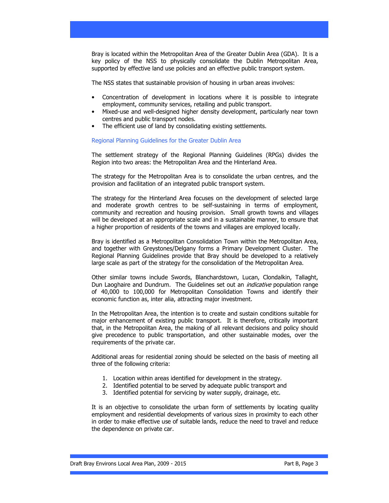Bray is located within the Metropolitan Area of the Greater Dublin Area (GDA). It is a key policy of the NSS to physically consolidate the Dublin Metropolitan Area, supported by effective land use policies and an effective public transport system.

The NSS states that sustainable provision of housing in urban areas involves:

- Concentration of development in locations where it is possible to integrate employment, community services, retailing and public transport.
- Mixed-use and well-designed higher density development, particularly near town centres and public transport nodes.
- The efficient use of land by consolidating existing settlements.

Regional Planning Guidelines for the Greater Dublin Area

The settlement strategy of the Regional Planning Guidelines (RPGs) divides the Region into two areas: the Metropolitan Area and the Hinterland Area.

The strategy for the Metropolitan Area is to consolidate the urban centres, and the provision and facilitation of an integrated public transport system.

The strategy for the Hinterland Area focuses on the development of selected large and moderate growth centres to be self-sustaining in terms of employment, community and recreation and housing provision. Small growth towns and villages will be developed at an appropriate scale and in a sustainable manner, to ensure that a higher proportion of residents of the towns and villages are employed locally.

Bray is identified as a Metropolitan Consolidation Town within the Metropolitan Area, and together with Greystones/Delgany forms a Primary Development Cluster. The Regional Planning Guidelines provide that Bray should be developed to a relatively large scale as part of the strategy for the consolidation of the Metropolitan Area.

Other similar towns include Swords, Blanchardstown, Lucan, Clondalkin, Tallaght, Dun Laoghaire and Dundrum. The Guidelines set out an *indicative* population range of 40,000 to 100,000 for Metropolitan Consolidation Towns and identify their economic function as, inter alia, attracting major investment.

In the Metropolitan Area, the intention is to create and sustain conditions suitable for major enhancement of existing public transport. It is therefore, critically important that, in the Metropolitan Area, the making of all relevant decisions and policy should give precedence to public transportation, and other sustainable modes, over the requirements of the private car.

Additional areas for residential zoning should be selected on the basis of meeting all three of the following criteria:

- 1. Location within areas identified for development in the strategy.
- 2. Identified potential to be served by adequate public transport and
- 3. Identified potential for servicing by water supply, drainage, etc.

It is an objective to consolidate the urban form of settlements by locating quality employment and residential developments of various sizes in proximity to each other in order to make effective use of suitable lands, reduce the need to travel and reduce the dependence on private car.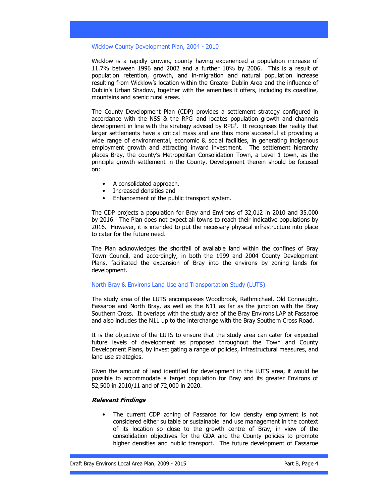#### Wicklow County Development Plan, 2004 - 2010

Wicklow is a rapidly growing county having experienced a population increase of 11.7% between 1996 and 2002 and a further 10% by 2006. This is a result of population retention, growth, and in-migration and natural population increase resulting from Wicklow's location within the Greater Dublin Area and the influence of Dublin's Urban Shadow, together with the amenities it offers, including its coastline, mountains and scenic rural areas.

The County Development Plan (CDP) provides a settlement strategy configured in accordance with the NSS  $\&$  the RPG<sup>s</sup> and locates population growth and channels development in line with the strategy advised by RPG<sup>s</sup>. It recognises the reality that larger settlements have a critical mass and are thus more successful at providing a wide range of environmental, economic & social facilities, in generating indigenous employment growth and attracting inward investment. The settlement hierarchy places Bray, the county's Metropolitan Consolidation Town, a Level 1 town, as the principle growth settlement in the County. Development therein should be focused on:

- A consolidated approach.
- Increased densities and
- Enhancement of the public transport system.

The CDP projects a population for Bray and Environs of 32,012 in 2010 and 35,000 by 2016. The Plan does not expect all towns to reach their indicative populations by 2016. However, it is intended to put the necessary physical infrastructure into place to cater for the future need.

The Plan acknowledges the shortfall of available land within the confines of Bray Town Council, and accordingly, in both the 1999 and 2004 County Development Plans, facilitated the expansion of Bray into the environs by zoning lands for development.

#### North Bray & Environs Land Use and Transportation Study (LUTS)

The study area of the LUTS encompasses Woodbrook, Rathmichael, Old Connaught, Fassaroe and North Bray, as well as the N11 as far as the junction with the Bray Southern Cross. It overlaps with the study area of the Bray Environs LAP at Fassaroe and also includes the N11 up to the interchange with the Bray Southern Cross Road.

It is the objective of the LUTS to ensure that the study area can cater for expected future levels of development as proposed throughout the Town and County Development Plans, by investigating a range of policies, infrastructural measures, and land use strategies.

Given the amount of land identified for development in the LUTS area, it would be possible to accommodate a target population for Bray and its greater Environs of 52,500 in 2010/11 and of 72,000 in 2020.

#### Relevant Findings

The current CDP zoning of Fassaroe for low density employment is not considered either suitable or sustainable land use management in the context of its location so close to the growth centre of Bray, in view of the consolidation objectives for the GDA and the County policies to promote higher densities and public transport. The future development of Fassaroe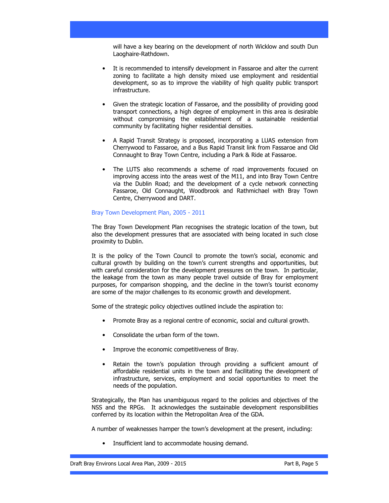will have a key bearing on the development of north Wicklow and south Dun Laoghaire-Rathdown.

- It is recommended to intensify development in Fassaroe and alter the current zoning to facilitate a high density mixed use employment and residential development, so as to improve the viability of high quality public transport infrastructure.
- Given the strategic location of Fassaroe, and the possibility of providing good transport connections, a high degree of employment in this area is desirable without compromising the establishment of a sustainable residential community by facilitating higher residential densities.
- A Rapid Transit Strategy is proposed, incorporating a LUAS extension from Cherrywood to Fassaroe, and a Bus Rapid Transit link from Fassaroe and Old Connaught to Bray Town Centre, including a Park & Ride at Fassaroe.
- The LUTS also recommends a scheme of road improvements focused on improving access into the areas west of the M11, and into Bray Town Centre via the Dublin Road; and the development of a cycle network connecting Fassaroe, Old Connaught, Woodbrook and Rathmichael with Bray Town Centre, Cherrywood and DART.

#### Bray Town Development Plan, 2005 - 2011

The Bray Town Development Plan recognises the strategic location of the town, but also the development pressures that are associated with being located in such close proximity to Dublin.

It is the policy of the Town Council to promote the town's social, economic and cultural growth by building on the town's current strengths and opportunities, but with careful consideration for the development pressures on the town. In particular, the leakage from the town as many people travel outside of Bray for employment purposes, for comparison shopping, and the decline in the town's tourist economy are some of the major challenges to its economic growth and development.

Some of the strategic policy objectives outlined include the aspiration to:

- Promote Bray as a regional centre of economic, social and cultural growth.
- Consolidate the urban form of the town.
- Improve the economic competitiveness of Bray.
- Retain the town's population through providing a sufficient amount of affordable residential units in the town and facilitating the development of infrastructure, services, employment and social opportunities to meet the needs of the population.

Strategically, the Plan has unambiguous regard to the policies and objectives of the NSS and the RPGs. It acknowledges the sustainable development responsibilities conferred by its location within the Metropolitan Area of the GDA.

A number of weaknesses hamper the town's development at the present, including:

Insufficient land to accommodate housing demand.

Draft Bray Environs Local Area Plan, 2009 - 2015 **Part B, Page 5** Part B, Page 5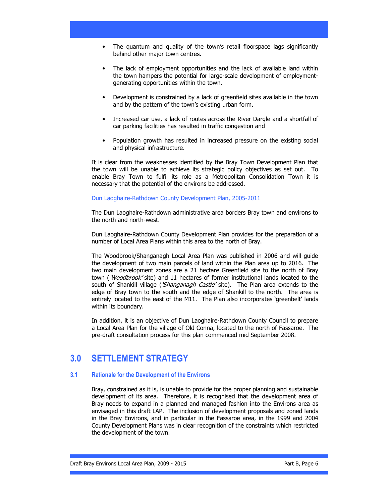- The quantum and quality of the town's retail floorspace lags significantly behind other major town centres.
- The lack of employment opportunities and the lack of available land within the town hampers the potential for large-scale development of employmentgenerating opportunities within the town.
- Development is constrained by a lack of greenfield sites available in the town and by the pattern of the town's existing urban form.
- Increased car use, a lack of routes across the River Dargle and a shortfall of car parking facilities has resulted in traffic congestion and
- Population growth has resulted in increased pressure on the existing social and physical infrastructure.

It is clear from the weaknesses identified by the Bray Town Development Plan that the town will be unable to achieve its strategic policy objectives as set out. To enable Bray Town to fulfil its role as a Metropolitan Consolidation Town it is necessary that the potential of the environs be addressed.

#### Dun Laoghaire-Rathdown County Development Plan, 2005-2011

The Dun Laoghaire-Rathdown administrative area borders Bray town and environs to the north and north-west.

Dun Laoghaire-Rathdown County Development Plan provides for the preparation of a number of Local Area Plans within this area to the north of Bray.

The Woodbrook/Shanganagh Local Area Plan was published in 2006 and will guide the development of two main parcels of land within the Plan area up to 2016. The two main development zones are a 21 hectare Greenfield site to the north of Bray town ('Woodbrook' site) and 11 hectares of former institutional lands located to the south of Shankill village (*'Shanganagh Castle'* site). The Plan area extends to the edge of Bray town to the south and the edge of Shankill to the north. The area is entirely located to the east of the M11. The Plan also incorporates 'greenbelt' lands within its boundary.

In addition, it is an objective of Dun Laoghaire-Rathdown County Council to prepare a Local Area Plan for the village of Old Conna, located to the north of Fassaroe. The pre-draft consultation process for this plan commenced mid September 2008.

## 3.0 SETTLEMENT STRATEGY

### 3.1 Rationale for the Development of the Environs

Bray, constrained as it is, is unable to provide for the proper planning and sustainable development of its area. Therefore, it is recognised that the development area of Bray needs to expand in a planned and managed fashion into the Environs area as envisaged in this draft LAP. The inclusion of development proposals and zoned lands in the Bray Environs, and in particular in the Fassaroe area, in the 1999 and 2004 County Development Plans was in clear recognition of the constraints which restricted the development of the town.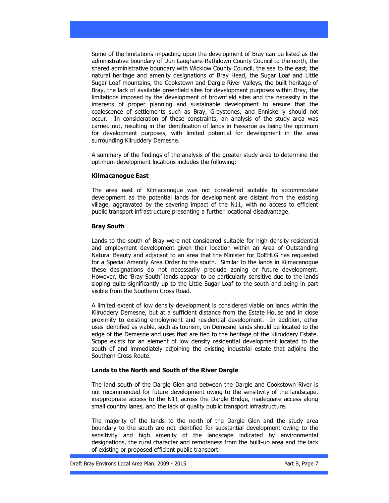Some of the limitations impacting upon the development of Bray can be listed as the administrative boundary of Dun Laoghaire-Rathdown County Council to the north, the shared administrative boundary with Wicklow County Council, the sea to the east, the natural heritage and amenity designations of Bray Head, the Sugar Loaf and Little Sugar Loaf mountains, the Cookstown and Dargle River Valleys, the built heritage of Bray, the lack of available greenfield sites for development purposes within Bray, the limitations imposed by the development of brownfield sites and the necessity in the interests of proper planning and sustainable development to ensure that the coalescence of settlements such as Bray, Greystones, and Enniskerry should not occur. In consideration of these constraints, an analysis of the study area was carried out, resulting in the identification of lands in Fassaroe as being the optimum for development purposes, with limited potential for development in the area surrounding Kilruddery Demesne.

A summary of the findings of the analysis of the greater study area to determine the optimum development locations includes the following:

### Kilmacanogue East

The area east of Kilmacanogue was not considered suitable to accommodate development as the potential lands for development are distant from the existing village, aggravated by the severing impact of the N11, with no access to efficient public transport infrastructure presenting a further locational disadvantage.

### Bray South

Lands to the south of Bray were not considered suitable for high density residential and employment development given their location within an Area of Outstanding Natural Beauty and adjacent to an area that the Minister for DoEHLG has requested for a Special Amenity Area Order to the south. Similar to the lands in Kilmacanogue these designations do not necessarily preclude zoning or future development. However, the 'Bray South' lands appear to be particularly sensitive due to the lands sloping quite significantly up to the Little Sugar Loaf to the south and being in part visible from the Southern Cross Road.

A limited extent of low density development is considered viable on lands within the Kilruddery Demesne, but at a sufficient distance from the Estate House and in close proximity to existing employment and residential development. In addition, other uses identified as viable, such as tourism, on Demesne lands should be located to the edge of the Demesne and uses that are tied to the heritage of the Kilruddery Estate. Scope exists for an element of low density residential development located to the south of and immediately adjoining the existing industrial estate that adjoins the Southern Cross Route.

### Lands to the North and South of the River Dargle

The land south of the Dargle Glen and between the Dargle and Cookstown River is not recommended for future development owing to the sensitivity of the landscape, inappropriate access to the N11 across the Dargle Bridge, inadequate access along small country lanes, and the lack of quality public transport infrastructure.

The majority of the lands to the north of the Dargle Glen and the study area boundary to the south are not identified for substantial development owing to the sensitivity and high amenity of the landscape indicated by environmental designations, the rural character and remoteness from the built-up area and the lack of existing or proposed efficient public transport.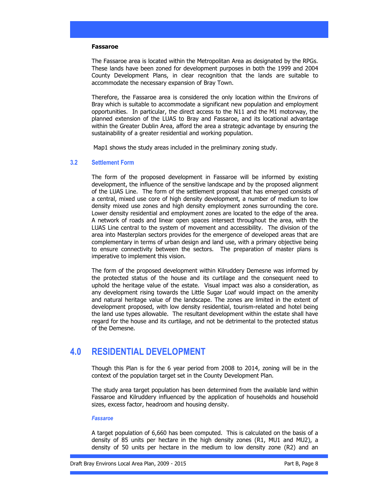#### Fassaroe

The Fassaroe area is located within the Metropolitan Area as designated by the RPGs. These lands have been zoned for development purposes in both the 1999 and 2004 County Development Plans, in clear recognition that the lands are suitable to accommodate the necessary expansion of Bray Town.

Therefore, the Fassaroe area is considered the only location within the Environs of Bray which is suitable to accommodate a significant new population and employment opportunities. In particular, the direct access to the N11 and the M1 motorway, the planned extension of the LUAS to Bray and Fassaroe, and its locational advantage within the Greater Dublin Area, afford the area a strategic advantage by ensuring the sustainability of a greater residential and working population.

Map1 shows the study areas included in the preliminary zoning study.

#### 3.2 Settlement Form

The form of the proposed development in Fassaroe will be informed by existing development, the influence of the sensitive landscape and by the proposed alignment of the LUAS Line. The form of the settlement proposal that has emerged consists of a central, mixed use core of high density development, a number of medium to low density mixed use zones and high density employment zones surrounding the core. Lower density residential and employment zones are located to the edge of the area. A network of roads and linear open spaces intersect throughout the area, with the LUAS Line central to the system of movement and accessibility. The division of the area into Masterplan sectors provides for the emergence of developed areas that are complementary in terms of urban design and land use, with a primary objective being to ensure connectivity between the sectors. The preparation of master plans is imperative to implement this vision.

The form of the proposed development within Kilruddery Demesne was informed by the protected status of the house and its curtilage and the consequent need to uphold the heritage value of the estate. Visual impact was also a consideration, as any development rising towards the Little Sugar Loaf would impact on the amenity and natural heritage value of the landscape. The zones are limited in the extent of development proposed, with low density residential, tourism-related and hotel being the land use types allowable. The resultant development within the estate shall have regard for the house and its curtilage, and not be detrimental to the protected status of the Demesne.

## 4.0 RESIDENTIAL DEVELOPMENT

Though this Plan is for the 6 year period from 2008 to 2014, zoning will be in the context of the population target set in the County Development Plan.

The study area target population has been determined from the available land within Fassaroe and Kilruddery influenced by the application of households and household sizes, excess factor, headroom and housing density.

#### Fassaroe

A target population of 6,660 has been computed. This is calculated on the basis of a density of 85 units per hectare in the high density zones (R1, MU1 and MU2), a density of 50 units per hectare in the medium to low density zone (R2) and an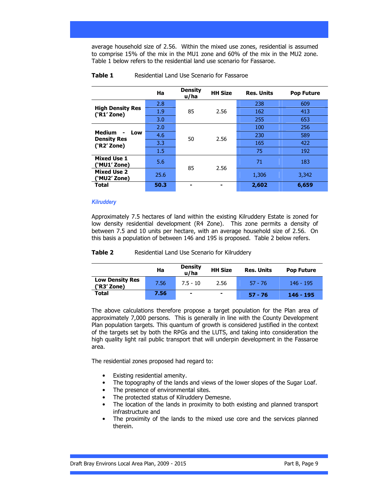average household size of 2.56. Within the mixed use zones, residential is assumed to comprise 15% of the mix in the MU1 zone and 60% of the mix in the MU2 zone. Table 1 below refers to the residential land use scenario for Fassaroe.

|                                        | Ha   | <b>Density</b><br>u/ha | <b>HH Size</b> | <b>Res. Units</b> | <b>Pop Future</b> |
|----------------------------------------|------|------------------------|----------------|-------------------|-------------------|
|                                        | 2.8  | 85                     | 2.56           | 238               | 609               |
| <b>High Density Res</b><br>('R1' Zone) | 1.9  |                        |                | 162               | 413               |
|                                        | 3.0  |                        |                | 255               | 653               |
|                                        | 2.0  |                        | 2.56           | 100               | 256               |
| <b>Medium</b><br>Low<br>$\blacksquare$ | 4.6  | 50                     |                | 230               | 589               |
| <b>Density Res</b><br>(YR2' Zone)      | 3.3  |                        |                | 165               | 422               |
|                                        | 1.5  |                        |                | 75                | 192               |
| <b>Mixed Use 1</b><br>(`MU1′ Zone)     | 5.6  | 85                     | 2.56           | 71                | 183               |
| <b>Mixed Use 2</b><br>(`MU2′ Zone)     | 25.6 |                        |                | 1,306             | 3,342             |
| Total                                  | 50.3 |                        |                | 2,602             | 6,659             |

#### **Table 1** Residential Land Use Scenario for Fassaroe

### **Kilruddery**

Approximately 7.5 hectares of land within the existing Kilruddery Estate is zoned for low density residential development (R4 Zone). This zone permits a density of between 7.5 and 10 units per hectare, with an average household size of 2.56. On this basis a population of between 146 and 195 is proposed. Table 2 below refers.

#### **Table 2** Residential Land Use Scenario for Kilruddery

|                                       | Ha   | <b>Density</b><br>u/ha   | <b>HH Size</b>           | <b>Res. Units</b> | <b>Pop Future</b> |
|---------------------------------------|------|--------------------------|--------------------------|-------------------|-------------------|
| <b>Low Density Res</b><br>('R3' Zone) | 7.56 | $7.5 - 10$               | 2.56                     | $57 - 76$         | $146 - 195$       |
| <b>Total</b>                          | 7.56 | $\overline{\phantom{0}}$ | $\overline{\phantom{a}}$ | $57 - 76$         | $146 - 195$       |

The above calculations therefore propose a target population for the Plan area of approximately 7,000 persons. This is generally in line with the County Development Plan population targets. This quantum of growth is considered justified in the context of the targets set by both the RPGs and the LUTS, and taking into consideration the high quality light rail public transport that will underpin development in the Fassaroe area.

The residential zones proposed had regard to:

- Existing residential amenity.
- The topography of the lands and views of the lower slopes of the Sugar Loaf.
- The presence of environmental sites.
- The protected status of Kilruddery Demesne.
- The location of the lands in proximity to both existing and planned transport infrastructure and
- The proximity of the lands to the mixed use core and the services planned therein.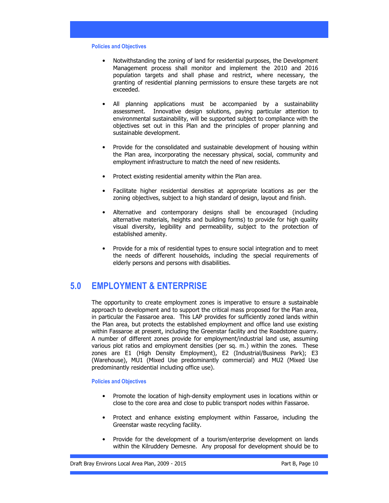#### Policies and Objectives

- Notwithstanding the zoning of land for residential purposes, the Development Management process shall monitor and implement the 2010 and 2016 population targets and shall phase and restrict, where necessary, the granting of residential planning permissions to ensure these targets are not exceeded.
- All planning applications must be accompanied by a sustainability assessment. Innovative design solutions, paying particular attention to environmental sustainability, will be supported subject to compliance with the objectives set out in this Plan and the principles of proper planning and sustainable development.
- Provide for the consolidated and sustainable development of housing within the Plan area, incorporating the necessary physical, social, community and employment infrastructure to match the need of new residents.
- Protect existing residential amenity within the Plan area.
- Facilitate higher residential densities at appropriate locations as per the zoning objectives, subject to a high standard of design, layout and finish.
- Alternative and contemporary designs shall be encouraged (including alternative materials, heights and building forms) to provide for high quality visual diversity, legibility and permeability, subject to the protection of established amenity.
- Provide for a mix of residential types to ensure social integration and to meet the needs of different households, including the special requirements of elderly persons and persons with disabilities.

## 5.0 EMPLOYMENT & ENTERPRISE

The opportunity to create employment zones is imperative to ensure a sustainable approach to development and to support the critical mass proposed for the Plan area, in particular the Fassaroe area. This LAP provides for sufficiently zoned lands within the Plan area, but protects the established employment and office land use existing within Fassaroe at present, including the Greenstar facility and the Roadstone quarry. A number of different zones provide for employment/industrial land use, assuming various plot ratios and employment densities (per sq. m.) within the zones. These zones are E1 (High Density Employment), E2 (Industrial/Business Park); E3 (Warehouse), MU1 (Mixed Use predominantly commercial) and MU2 (Mixed Use predominantly residential including office use).

### Policies and Objectives

- Promote the location of high-density employment uses in locations within or close to the core area and close to public transport nodes within Fassaroe.
- Protect and enhance existing employment within Fassaroe, including the Greenstar waste recycling facility.
- Provide for the development of a tourism/enterprise development on lands within the Kilruddery Demesne. Any proposal for development should be to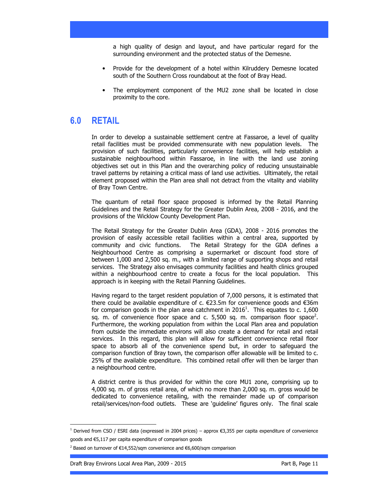a high quality of design and layout, and have particular regard for the surrounding environment and the protected status of the Demesne.

- Provide for the development of a hotel within Kilruddery Demesne located south of the Southern Cross roundabout at the foot of Bray Head.
- The employment component of the MU2 zone shall be located in close proximity to the core.

## 6.0 RETAIL

In order to develop a sustainable settlement centre at Fassaroe, a level of quality retail facilities must be provided commensurate with new population levels. The provision of such facilities, particularly convenience facilities, will help establish a sustainable neighbourhood within Fassaroe, in line with the land use zoning objectives set out in this Plan and the overarching policy of reducing unsustainable travel patterns by retaining a critical mass of land use activities. Ultimately, the retail element proposed within the Plan area shall not detract from the vitality and viability of Bray Town Centre.

The quantum of retail floor space proposed is informed by the Retail Planning Guidelines and the Retail Strategy for the Greater Dublin Area, 2008 - 2016, and the provisions of the Wicklow County Development Plan.

The Retail Strategy for the Greater Dublin Area (GDA), 2008 - 2016 promotes the provision of easily accessible retail facilities within a central area, supported by community and civic functions. The Retail Strategy for the GDA defines a Neighbourhood Centre as comprising a supermarket or discount food store of between 1,000 and 2,500 sq. m., with a limited range of supporting shops and retail services. The Strategy also envisages community facilities and health clinics grouped within a neighbourhood centre to create a focus for the local population. This approach is in keeping with the Retail Planning Guidelines.

Having regard to the target resident population of 7,000 persons, it is estimated that there could be available expenditure of c. €23.5m for convenience goods and €36m for comparison goods in the plan area catchment in 2016<sup>1</sup>. This equates to c. 1,600 sq. m. of convenience floor space and c. 5,500 sq. m. comparison floor space<sup>2</sup>. Furthermore, the working population from within the Local Plan area and population from outside the immediate environs will also create a demand for retail and retail services. In this regard, this plan will allow for sufficient convenience retail floor space to absorb all of the convenience spend but, in order to safeguard the comparison function of Bray town, the comparison offer allowable will be limited to c. 25% of the available expenditure. This combined retail offer will then be larger than a neighbourhood centre.

A district centre is thus provided for within the core MU1 zone, comprising up to 4,000 sq. m. of gross retail area, of which no more than 2,000 sq. m. gross would be dedicated to convenience retailing, with the remainder made up of comparison retail/services/non-food outlets. These are 'guideline' figures only. The final scale

Draft Bray Environs Local Area Plan, 2009 - 2015 **Part B, Page 11** Part B, Page 11

 $\overline{a}$ 

<sup>1</sup> Derived from CSO / ESRI data (expressed in 2004 prices) – approx €3,355 per capita expenditure of convenience goods and €5,117 per capita expenditure of comparison goods

<sup>&</sup>lt;sup>2</sup> Based on turnover of €14,552/sqm convenience and €6,600/sqm comparison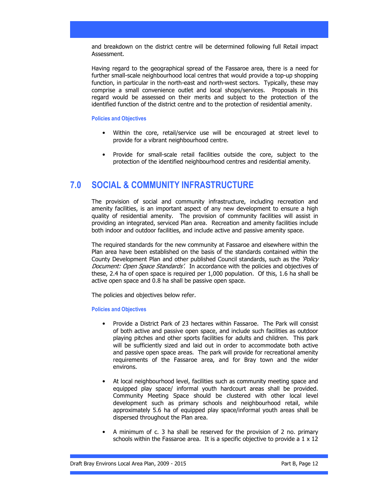and breakdown on the district centre will be determined following full Retail impact Assessment.

Having regard to the geographical spread of the Fassaroe area, there is a need for further small-scale neighbourhood local centres that would provide a top-up shopping function, in particular in the north-east and north-west sectors. Typically, these may comprise a small convenience outlet and local shops/services. Proposals in this regard would be assessed on their merits and subject to the protection of the identified function of the district centre and to the protection of residential amenity.

### Policies and Objectives

- Within the core, retail/service use will be encouraged at street level to provide for a vibrant neighbourhood centre.
- Provide for small-scale retail facilities outside the core, subject to the protection of the identified neighbourhood centres and residential amenity.

## 7.0 SOCIAL & COMMUNITY INFRASTRUCTURE

The provision of social and community infrastructure, including recreation and amenity facilities, is an important aspect of any new development to ensure a high quality of residential amenity. The provision of community facilities will assist in providing an integrated, serviced Plan area. Recreation and amenity facilities include both indoor and outdoor facilities, and include active and passive amenity space.

The required standards for the new community at Fassaroe and elsewhere within the Plan area have been established on the basis of the standards contained within the County Development Plan and other published Council standards, such as the 'Policy Document: Open Space Standards'. In accordance with the policies and objectives of these, 2.4 ha of open space is required per 1,000 population. Of this, 1.6 ha shall be active open space and 0.8 ha shall be passive open space.

The policies and objectives below refer.

### Policies and Objectives

- Provide a District Park of 23 hectares within Fassaroe. The Park will consist of both active and passive open space, and include such facilities as outdoor playing pitches and other sports facilities for adults and children. This park will be sufficiently sized and laid out in order to accommodate both active and passive open space areas. The park will provide for recreational amenity requirements of the Fassaroe area, and for Bray town and the wider environs.
- At local neighbourhood level, facilities such as community meeting space and equipped play space/ informal youth hardcourt areas shall be provided. Community Meeting Space should be clustered with other local level development such as primary schools and neighbourhood retail, while approximately 5.6 ha of equipped play space/informal youth areas shall be dispersed throughout the Plan area.
- A minimum of c. 3 ha shall be reserved for the provision of 2 no. primary schools within the Fassaroe area. It is a specific objective to provide a  $1 \times 12$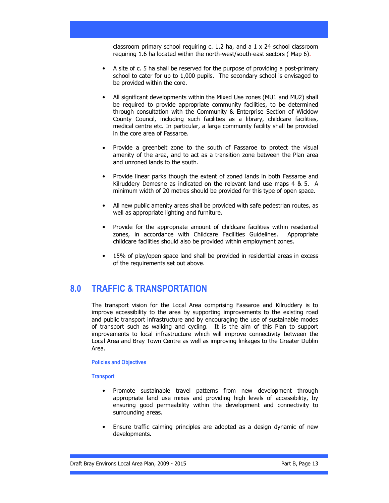classroom primary school requiring c. 1.2 ha, and a 1 x 24 school classroom requiring 1.6 ha located within the north-west/south-east sectors ( Map 6).

- A site of c. 5 ha shall be reserved for the purpose of providing a post-primary school to cater for up to 1,000 pupils. The secondary school is envisaged to be provided within the core.
- All significant developments within the Mixed Use zones (MU1 and MU2) shall be required to provide appropriate community facilities, to be determined through consultation with the Community & Enterprise Section of Wicklow County Council, including such facilities as a library, childcare facilities, medical centre etc. In particular, a large community facility shall be provided in the core area of Fassaroe.
- Provide a greenbelt zone to the south of Fassaroe to protect the visual amenity of the area, and to act as a transition zone between the Plan area and unzoned lands to the south.
- Provide linear parks though the extent of zoned lands in both Fassaroe and Kilruddery Demesne as indicated on the relevant land use maps 4 & 5. A minimum width of 20 metres should be provided for this type of open space.
- All new public amenity areas shall be provided with safe pedestrian routes, as well as appropriate lighting and furniture.
- Provide for the appropriate amount of childcare facilities within residential zones, in accordance with Childcare Facilities Guidelines. Appropriate childcare facilities should also be provided within employment zones.
- 15% of play/open space land shall be provided in residential areas in excess of the requirements set out above.

## 8.0 TRAFFIC & TRANSPORTATION

The transport vision for the Local Area comprising Fassaroe and Kilruddery is to improve accessibility to the area by supporting improvements to the existing road and public transport infrastructure and by encouraging the use of sustainable modes of transport such as walking and cycling. It is the aim of this Plan to support improvements to local infrastructure which will improve connectivity between the Local Area and Bray Town Centre as well as improving linkages to the Greater Dublin Area.

#### Policies and Objectives

### **Transport**

- Promote sustainable travel patterns from new development through appropriate land use mixes and providing high levels of accessibility, by ensuring good permeability within the development and connectivity to surrounding areas.
- Ensure traffic calming principles are adopted as a design dynamic of new developments.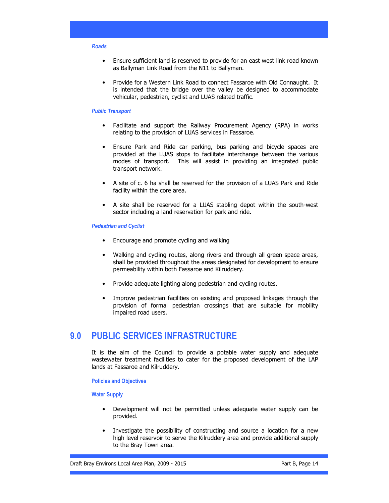#### Roads

- Ensure sufficient land is reserved to provide for an east west link road known as Ballyman Link Road from the N11 to Ballyman.
- Provide for a Western Link Road to connect Fassaroe with Old Connaught. It is intended that the bridge over the valley be designed to accommodate vehicular, pedestrian, cyclist and LUAS related traffic.

#### Public Transport

- Facilitate and support the Railway Procurement Agency (RPA) in works relating to the provision of LUAS services in Fassaroe.
- Ensure Park and Ride car parking, bus parking and bicycle spaces are provided at the LUAS stops to facilitate interchange between the various modes of transport. This will assist in providing an integrated public transport network.
- A site of c. 6 ha shall be reserved for the provision of a LUAS Park and Ride facility within the core area.
- A site shall be reserved for a LUAS stabling depot within the south-west sector including a land reservation for park and ride.

#### Pedestrian and Cyclist

- Encourage and promote cycling and walking
- Walking and cycling routes, along rivers and through all green space areas, shall be provided throughout the areas designated for development to ensure permeability within both Fassaroe and Kilruddery.
- Provide adequate lighting along pedestrian and cycling routes.
- Improve pedestrian facilities on existing and proposed linkages through the provision of formal pedestrian crossings that are suitable for mobility impaired road users.

## 9.0 PUBLIC SERVICES INFRASTRUCTURE

It is the aim of the Council to provide a potable water supply and adequate wastewater treatment facilities to cater for the proposed development of the LAP lands at Fassaroe and Kilruddery.

Policies and Objectives

### Water Supply

- Development will not be permitted unless adequate water supply can be provided.
- Investigate the possibility of constructing and source a location for a new high level reservoir to serve the Kilruddery area and provide additional supply to the Bray Town area.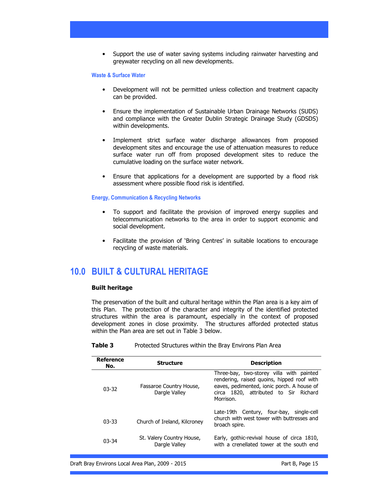• Support the use of water saving systems including rainwater harvesting and greywater recycling on all new developments.

### Waste & Surface Water

- Development will not be permitted unless collection and treatment capacity can be provided.
- Ensure the implementation of Sustainable Urban Drainage Networks (SUDS) and compliance with the Greater Dublin Strategic Drainage Study (GDSDS) within developments.
- Implement strict surface water discharge allowances from proposed development sites and encourage the use of attenuation measures to reduce surface water run off from proposed development sites to reduce the cumulative loading on the surface water network.
- Ensure that applications for a development are supported by a flood risk assessment where possible flood risk is identified.

#### Energy, Communication & Recycling Networks

- To support and facilitate the provision of improved energy supplies and telecommunication networks to the area in order to support economic and social development.
- Facilitate the provision of 'Bring Centres' in suitable locations to encourage recycling of waste materials.

## 10.0 BUILT & CULTURAL HERITAGE

#### Built heritage

The preservation of the built and cultural heritage within the Plan area is a key aim of this Plan. The protection of the character and integrity of the identified protected structures within the area is paramount, especially in the context of proposed development zones in close proximity. The structures afforded protected status within the Plan area are set out in Table 3 below.

**Table 3** Protected Structures within the Bray Environs Plan Area

| <b>Reference</b><br>No. | <b>Structure</b>                           | <b>Description</b>                                                                                                                                                                         |
|-------------------------|--------------------------------------------|--------------------------------------------------------------------------------------------------------------------------------------------------------------------------------------------|
| $03-32$                 | Fassaroe Country House,<br>Dargle Valley   | Three-bay, two-storey villa with painted<br>rendering, raised quoins, hipped roof with<br>eaves, pedimented, ionic porch. A house of<br>circa 1820, attributed to Sir Richard<br>Morrison. |
| $03 - 33$               | Church of Ireland, Kilcroney               | Late-19th Century, four-bay,<br>single-cell<br>church with west tower with buttresses and<br>broach spire.                                                                                 |
| $03 - 34$               | St. Valery Country House,<br>Dargle Valley | Early, gothic-revival house of circa 1810,<br>with a crenellated tower at the south end                                                                                                    |

Draft Bray Environs Local Area Plan, 2009 - 2015 **Part B, Page 15** Part B, Page 15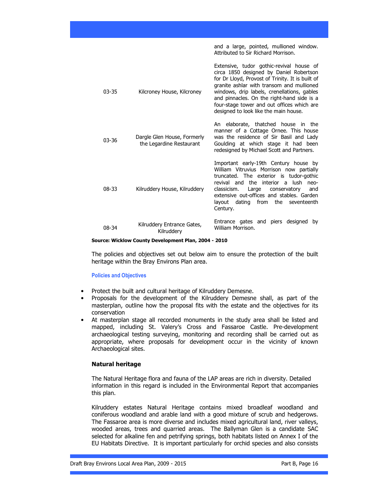| $03 - 35$ | Kilcroney House, Kilcroney                              | Extensive, tudor gothic-revival house of<br>circa 1850 designed by Daniel Robertson<br>for Dr Lloyd, Provost of Trinity. It is built of<br>granite ashlar with transom and mullioned<br>windows, drip labels, crenellations, gables<br>and pinnacles. On the right-hand side is a<br>four-stage tower and out offices which are<br>designed to look like the main house. |
|-----------|---------------------------------------------------------|--------------------------------------------------------------------------------------------------------------------------------------------------------------------------------------------------------------------------------------------------------------------------------------------------------------------------------------------------------------------------|
| $03 - 36$ | Dargle Glen House, Formerly<br>the Legardine Restaurant | An elaborate, thatched house in the<br>manner of a Cottage Ornee. This house<br>was the residence of Sir Basil and Lady<br>Goulding at which stage it had been<br>redesigned by Michael Scott and Partners.                                                                                                                                                              |
| $08 - 33$ | Kilruddery House, Kilruddery                            | Important early-19th Century house by<br>William Vitruvius Morrison now partially<br>truncated. The exterior is tudor-gothic<br>revival and the interior a lush neo-<br>classicism.<br>Large<br>conservatory<br>and<br>extensive out-offices and stables. Garden<br>layout dating from the seventeenth<br>Century.                                                       |
| $08-34$   | Kilruddery Entrance Gates,<br>Kilruddery                | Entrance gates and piers designed<br>by<br>William Morrison.                                                                                                                                                                                                                                                                                                             |

and a large, pointed, mullioned window.

Attributed to Sir Richard Morrison.

#### Source: Wicklow County Development Plan, 2004 - 2010

The policies and objectives set out below aim to ensure the protection of the built heritage within the Bray Environs Plan area.

#### Policies and Objectives

- Protect the built and cultural heritage of Kilruddery Demesne.
- Proposals for the development of the Kilruddery Demesne shall, as part of the masterplan, outline how the proposal fits with the estate and the objectives for its conservation
- At masterplan stage all recorded monuments in the study area shall be listed and mapped, including St. Valery's Cross and Fassaroe Castle. Pre-development archaeological testing surveying, monitoring and recording shall be carried out as appropriate, where proposals for development occur in the vicinity of known Archaeological sites.

### Natural heritage

 The Natural Heritage flora and fauna of the LAP areas are rich in diversity. Detailed information in this regard is included in the Environmental Report that accompanies this plan.

Kilruddery estates Natural Heritage contains mixed broadleaf woodland and coniferous woodland and arable land with a good mixture of scrub and hedgerows. The Fassaroe area is more diverse and includes mixed agricultural land, river valleys, wooded areas, trees and quarried areas. The Ballyman Glen is a candidate SAC selected for alkaline fen and petrifying springs, both habitats listed on Annex I of the EU Habitats Directive. It is important particularly for orchid species and also consists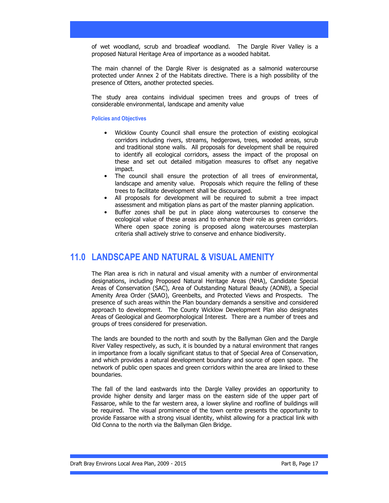of wet woodland, scrub and broadleaf woodland. The Dargle River Valley is a proposed Natural Heritage Area of importance as a wooded habitat.

The main channel of the Dargle River is designated as a salmonid watercourse protected under Annex 2 of the Habitats directive. There is a high possibility of the presence of Otters, another protected species.

The study area contains individual specimen trees and groups of trees of considerable environmental, landscape and amenity value

#### Policies and Objectives

- Wicklow County Council shall ensure the protection of existing ecological corridors including rivers, streams, hedgerows, trees, wooded areas, scrub and traditional stone walls. All proposals for development shall be required to identify all ecological corridors, assess the impact of the proposal on these and set out detailed mitigation measures to offset any negative impact.
- The council shall ensure the protection of all trees of environmental, landscape and amenity value. Proposals which require the felling of these trees to facilitate development shall be discouraged.
- All proposals for development will be required to submit a tree impact assessment and mitigation plans as part of the master planning application.
- Buffer zones shall be put in place along watercourses to conserve the ecological value of these areas and to enhance their role as green corridors. Where open space zoning is proposed along watercourses masterplan criteria shall actively strive to conserve and enhance biodiversity.

## 11.0 LANDSCAPE AND NATURAL & VISUAL AMENITY

The Plan area is rich in natural and visual amenity with a number of environmental designations, including Proposed Natural Heritage Areas (NHA), Candidate Special Areas of Conservation (SAC), Area of Outstanding Natural Beauty (AONB), a Special Amenity Area Order (SAAO), Greenbelts, and Protected Views and Prospects. The presence of such areas within the Plan boundary demands a sensitive and considered approach to development. The County Wicklow Development Plan also designates Areas of Geological and Geomorphological Interest. There are a number of trees and groups of trees considered for preservation.

The lands are bounded to the north and south by the Ballyman Glen and the Dargle River Valley respectively, as such, it is bounded by a natural environment that ranges in importance from a locally significant status to that of Special Area of Conservation, and which provides a natural development boundary and source of open space. The network of public open spaces and green corridors within the area are linked to these boundaries.

The fall of the land eastwards into the Dargle Valley provides an opportunity to provide higher density and larger mass on the eastern side of the upper part of Fassaroe, while to the far western area, a lower skyline and roofline of buildings will be required. The visual prominence of the town centre presents the opportunity to provide Fassaroe with a strong visual identity, whilst allowing for a practical link with Old Conna to the north via the Ballyman Glen Bridge.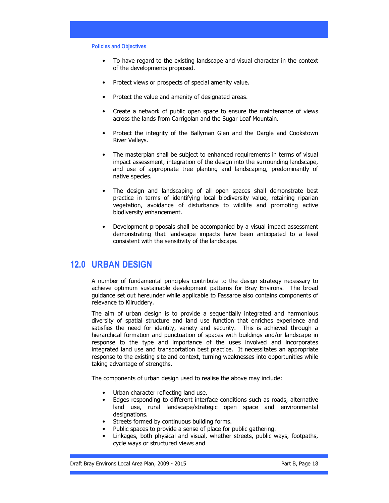#### Policies and Objectives

- To have regard to the existing landscape and visual character in the context of the developments proposed.
- Protect views or prospects of special amenity value.
- Protect the value and amenity of designated areas.
- Create a network of public open space to ensure the maintenance of views across the lands from Carrigolan and the Sugar Loaf Mountain.
- Protect the integrity of the Ballyman Glen and the Dargle and Cookstown River Valleys.
- The masterplan shall be subject to enhanced requirements in terms of visual impact assessment, integration of the design into the surrounding landscape, and use of appropriate tree planting and landscaping, predominantly of native species.
- The design and landscaping of all open spaces shall demonstrate best practice in terms of identifying local biodiversity value, retaining riparian vegetation, avoidance of disturbance to wildlife and promoting active biodiversity enhancement.
- Development proposals shall be accompanied by a visual impact assessment demonstrating that landscape impacts have been anticipated to a level consistent with the sensitivity of the landscape.

## 12.0 URBAN DESIGN

A number of fundamental principles contribute to the design strategy necessary to achieve optimum sustainable development patterns for Bray Environs. The broad guidance set out hereunder while applicable to Fassaroe also contains components of relevance to Kilruddery.

The aim of urban design is to provide a sequentially integrated and harmonious diversity of spatial structure and land use function that enriches experience and satisfies the need for identity, variety and security. This is achieved through a hierarchical formation and punctuation of spaces with buildings and/or landscape in response to the type and importance of the uses involved and incorporates integrated land use and transportation best practice. It necessitates an appropriate response to the existing site and context, turning weaknesses into opportunities while taking advantage of strengths.

The components of urban design used to realise the above may include:

- Urban character reflecting land use.
- Edges responding to different interface conditions such as roads, alternative land use, rural landscape/strategic open space and environmental designations.
- Streets formed by continuous building forms.
- Public spaces to provide a sense of place for public gathering.
- Linkages, both physical and visual, whether streets, public ways, footpaths, cycle ways or structured views and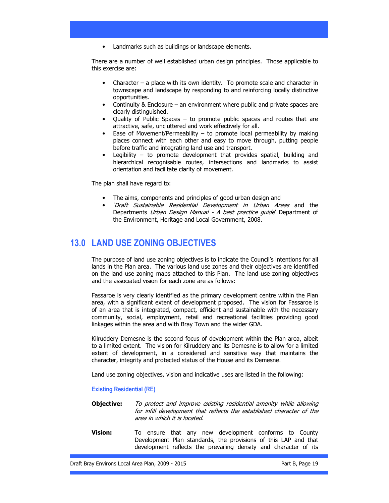• Landmarks such as buildings or landscape elements.

There are a number of well established urban design principles. Those applicable to this exercise are:

- Character a place with its own identity. To promote scale and character in townscape and landscape by responding to and reinforcing locally distinctive opportunities.
- Continuity & Enclosure an environment where public and private spaces are clearly distinguished.
- Quality of Public Spaces to promote public spaces and routes that are attractive, safe, uncluttered and work effectively for all.
- Ease of Movement/Permeability to promote local permeability by making places connect with each other and easy to move through, putting people before traffic and integrating land use and transport.
- Legibility to promote development that provides spatial, building and hierarchical recognisable routes, intersections and landmarks to assist orientation and facilitate clarity of movement.

The plan shall have regard to:

- The aims, components and principles of good urban design and
- 'Draft Sustainable Residential Development in Urban Areas and the Departments Urban Design Manual - A best practice guide' Department of the Environment, Heritage and Local Government, 2008.

## 13.0 LAND USE ZONING OBJECTIVES

The purpose of land use zoning objectives is to indicate the Council's intentions for all lands in the Plan area. The various land use zones and their objectives are identified on the land use zoning maps attached to this Plan. The land use zoning objectives and the associated vision for each zone are as follows:

Fassaroe is very clearly identified as the primary development centre within the Plan area, with a significant extent of development proposed. The vision for Fassaroe is of an area that is integrated, compact, efficient and sustainable with the necessary community, social, employment, retail and recreational facilities providing good linkages within the area and with Bray Town and the wider GDA.

Kilruddery Demesne is the second focus of development within the Plan area, albeit to a limited extent. The vision for Kilruddery and its Demesne is to allow for a limited extent of development, in a considered and sensitive way that maintains the character, integrity and protected status of the House and its Demesne.

Land use zoning objectives, vision and indicative uses are listed in the following:

## Existing Residential (RE)

- **Objective:** To protect and improve existing residential amenity while allowing for infill development that reflects the established character of the area in which it is located.
- **Vision:** To ensure that any new development conforms to County Development Plan standards, the provisions of this LAP and that development reflects the prevailing density and character of its

Draft Bray Environs Local Area Plan, 2009 - 2015 **Part B, Page 19** Part B, Page 19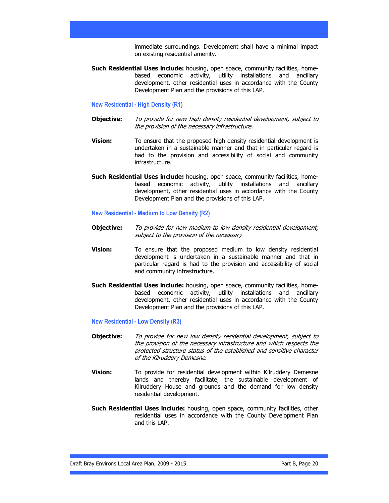immediate surroundings. Development shall have a minimal impact on existing residential amenity.

Such Residential Uses include: housing, open space, community facilities, homebased economic activity, utility installations and ancillary development, other residential uses in accordance with the County Development Plan and the provisions of this LAP.

### New Residential - High Density (R1)

- Objective: To provide for new high density residential development, subject to the provision of the necessary infrastructure.
- **Vision:** To ensure that the proposed high density residential development is undertaken in a sustainable manner and that in particular regard is had to the provision and accessibility of social and community infrastructure.
- Such Residential Uses include: housing, open space, community facilities, homebased economic activity, utility installations and ancillary development, other residential uses in accordance with the County Development Plan and the provisions of this LAP.

#### New Residential - Medium to Low Density (R2)

- **Objective:** To provide for new medium to low density residential development, subject to the provision of the necessary
- **Vision:** To ensure that the proposed medium to low density residential development is undertaken in a sustainable manner and that in particular regard is had to the provision and accessibility of social and community infrastructure.
- Such Residential Uses include: housing, open space, community facilities, homebased economic activity, utility installations and ancillary development, other residential uses in accordance with the County Development Plan and the provisions of this LAP.

### New Residential - Low Density (R3)

- **Objective:** To provide for new low density residential development, subject to the provision of the necessary infrastructure and which respects the protected structure status of the established and sensitive character of the Kilruddery Demesne.
- **Vision:** To provide for residential development within Kilruddery Demesne lands and thereby facilitate, the sustainable development of Kilruddery House and grounds and the demand for low density residential development.
- Such Residential Uses include: housing, open space, community facilities, other residential uses in accordance with the County Development Plan and this LAP.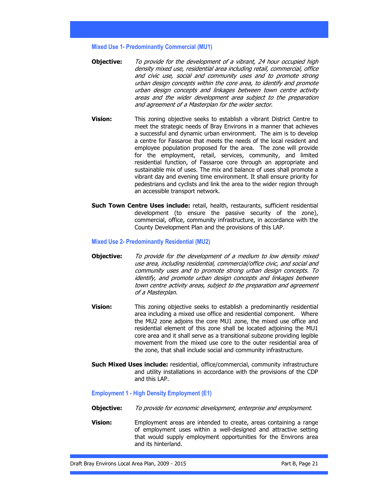Mixed Use 1- Predominantly Commercial (MU1)

- **Objective:** To provide for the development of a vibrant, 24 hour occupied high density mixed use, residential area including retail, commercial, office and civic use, social and community uses and to promote strong urban design concepts within the core area, to identify and promote urban design concepts and linkages between town centre activity areas and the wider development area subject to the preparation and agreement of a Masterplan for the wider sector.
- **Vision:** This zoning objective seeks to establish a vibrant District Centre to meet the strategic needs of Bray Environs in a manner that achieves a successful and dynamic urban environment. The aim is to develop a centre for Fassaroe that meets the needs of the local resident and employee population proposed for the area. The zone will provide for the employment, retail, services, community, and limited residential function, of Fassaroe core through an appropriate and sustainable mix of uses. The mix and balance of uses shall promote a vibrant day and evening time environment. It shall ensure priority for pedestrians and cyclists and link the area to the wider region through an accessible transport network.
- Such Town Centre Uses include: retail, health, restaurants, sufficient residential development (to ensure the passive security of the zone), commercial, office, community infrastructure, in accordance with the County Development Plan and the provisions of this LAP.

#### Mixed Use 2- Predominantly Residential (MU2)

- **Objective:** To provide for the development of a medium to low density mixed use area, including residential, commercial/office civic, and social and community uses and to promote strong urban design concepts. To identify, and promote urban design concepts and linkages between town centre activity areas, subject to the preparation and agreement of a Masterplan.
- **Vision:** This zoning objective seeks to establish a predominantly residential area including a mixed use office and residential component. Where the MU2 zone adjoins the core MU1 zone, the mixed use office and residential element of this zone shall be located adjoining the MU1 core area and it shall serve as a transitional subzone providing legible movement from the mixed use core to the outer residential area of the zone, that shall include social and community infrastructure.
- Such Mixed Uses include: residential, office/commercial, community infrastructure and utility installations in accordance with the provisions of the CDP and this LAP.

#### Employment 1 - High Density Employment (E1)

- **Objective:** To provide for economic development, enterprise and employment.
- **Vision:** Employment areas are intended to create, areas containing a range of employment uses within a well-designed and attractive setting that would supply employment opportunities for the Environs area and its hinterland.

Draft Bray Environs Local Area Plan, 2009 - 2015 **Part B, Page 21** Part B, Page 21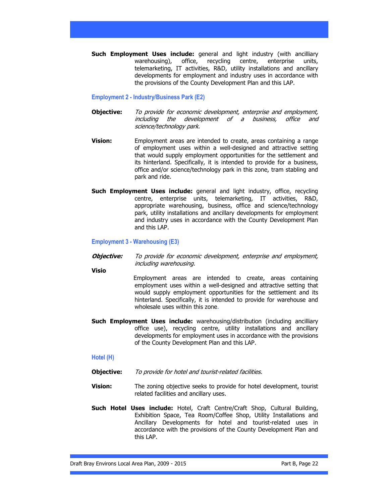Such Employment Uses include: general and light industry (with ancilliary warehousing), office, recycling centre, enterprise units, telemarketing, IT activities, R&D, utility installations and ancillary developments for employment and industry uses in accordance with the provisions of the County Development Plan and this LAP.

### Employment 2 - Industry/Business Park (E2)

- **Objective:** To provide for economic development, enterprise and employment, including the development of a business, office and science/technology park.
- **Vision:** Employment areas are intended to create, areas containing a range of employment uses within a well-designed and attractive setting that would supply employment opportunities for the settlement and its hinterland. Specifically, it is intended to provide for a business, office and/or science/technology park in this zone, tram stabling and park and ride.
- Such Employment Uses include: general and light industry, office, recycling centre, enterprise units, telemarketing, IT activities, R&D, appropriate warehousing, business, office and science/technology park, utility installations and ancillary developments for employment and industry uses in accordance with the County Development Plan and this LAP.

### Employment 3 - Warehousing (E3)

- **Objective:** To provide for economic development, enterprise and employment, including warehousing.
- Visio

 Employment areas are intended to create, areas containing employment uses within a well-designed and attractive setting that would supply employment opportunities for the settlement and its hinterland. Specifically, it is intended to provide for warehouse and wholesale uses within this zone.

Such Employment Uses include: warehousing/distribution (including ancilliary office use), recycling centre, utility installations and ancillary developments for employment uses in accordance with the provisions of the County Development Plan and this LAP.

## Hotel (H)

- **Objective:** To provide for hotel and tourist-related facilities.
- **Vision:** The zoning objective seeks to provide for hotel development, tourist related facilities and ancillary uses.
- Such Hotel Uses include: Hotel, Craft Centre/Craft Shop, Cultural Building, Exhibition Space, Tea Room/Coffee Shop, Utility Installations and Ancillary Developments for hotel and tourist-related uses in accordance with the provisions of the County Development Plan and this LAP.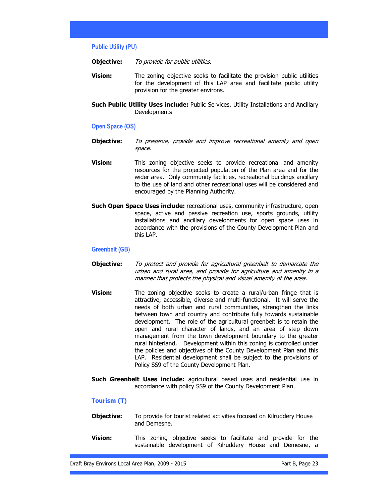#### Public Utility (PU)

- **Objective:** To provide for public utilities.
- **Vision:** The zoning objective seeks to facilitate the provision public utilities for the development of this LAP area and facilitate public utility provision for the greater environs.
- Such Public Utility Uses include: Public Services, Utility Installations and Ancillary Developments

## Open Space (OS)

- **Objective:** To preserve, provide and improve recreational amenity and open space.
- **Vision:** This zoning objective seeks to provide recreational and amenity resources for the projected population of the Plan area and for the wider area. Only community facilities, recreational buildings ancillary to the use of land and other recreational uses will be considered and encouraged by the Planning Authority.
- **Such Open Space Uses include:** recreational uses, community infrastructure, open space, active and passive recreation use, sports grounds, utility installations and ancillary developments for open space uses in accordance with the provisions of the County Development Plan and this LAP.

#### Greenbelt (GB)

- **Objective:** To protect and provide for agricultural greenbelt to demarcate the urban and rural area, and provide for agriculture and amenity in a manner that protects the physical and visual amenity of the area.
- **Vision:** The zoning objective seeks to create a rural/urban fringe that is attractive, accessible, diverse and multi-functional. It will serve the needs of both urban and rural communities, strengthen the links between town and country and contribute fully towards sustainable development. The role of the agricultural greenbelt is to retain the open and rural character of lands, and an area of step down management from the town development boundary to the greater rural hinterland. Development within this zoning is controlled under the policies and objectives of the County Development Plan and this LAP. Residential development shall be subject to the provisions of Policy SS9 of the County Development Plan.
- Such Greenbelt Uses include: agricultural based uses and residential use in accordance with policy SS9 of the County Development Plan.

#### Tourism (T)

- **Objective:** To provide for tourist related activities focused on Kilruddery House and Demesne.
- **Vision:** This zoning objective seeks to facilitate and provide for the sustainable development of Kilruddery House and Demesne, a

Draft Bray Environs Local Area Plan, 2009 - 2015 **Part B, Page 23** Part B, Page 23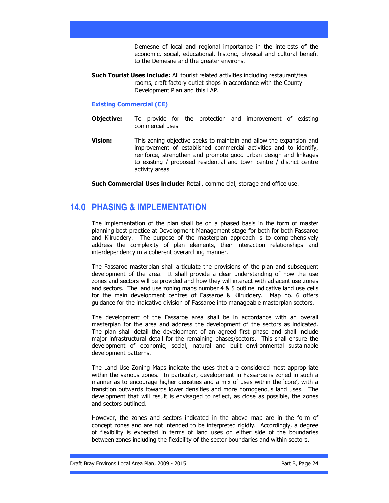Demesne of local and regional importance in the interests of the economic, social, educational, historic, physical and cultural benefit to the Demesne and the greater environs.

Such Tourist Uses include: All tourist related activities including restaurant/tea rooms, craft factory outlet shops in accordance with the County Development Plan and this LAP.

## Existing Commercial (CE)

- **Objective:** To provide for the protection and improvement of existing commercial uses
- **Vision:** This zoning objective seeks to maintain and allow the expansion and improvement of established commercial activities and to identify, reinforce, strengthen and promote good urban design and linkages to existing / proposed residential and town centre / district centre activity areas

Such Commercial Uses include: Retail, commercial, storage and office use.

## 14.0 PHASING & IMPLEMENTATION

The implementation of the plan shall be on a phased basis in the form of master planning best practice at Development Management stage for both for both Fassaroe and Kilruddery. The purpose of the masterplan approach is to comprehensively address the complexity of plan elements, their interaction relationships and interdependency in a coherent overarching manner.

The Fassaroe masterplan shall articulate the provisions of the plan and subsequent development of the area. It shall provide a clear understanding of how the use zones and sectors will be provided and how they will interact with adjacent use zones and sectors. The land use zoning maps number 4 & 5 outline indicative land use cells for the main development centres of Fassaroe & Kilruddery. Map no. 6 offers guidance for the indicative division of Fassaroe into manageable masterplan sectors.

The development of the Fassaroe area shall be in accordance with an overall masterplan for the area and address the development of the sectors as indicated. The plan shall detail the development of an agreed first phase and shall include major infrastructural detail for the remaining phases/sectors. This shall ensure the development of economic, social, natural and built environmental sustainable development patterns.

The Land Use Zoning Maps indicate the uses that are considered most appropriate within the various zones. In particular, development in Fassaroe is zoned in such a manner as to encourage higher densities and a mix of uses within the 'core', with a transition outwards towards lower densities and more homogenous land uses. The development that will result is envisaged to reflect, as close as possible, the zones and sectors outlined.

However, the zones and sectors indicated in the above map are in the form of concept zones and are not intended to be interpreted rigidly. Accordingly, a degree of flexibility is expected in terms of land uses on either side of the boundaries between zones including the flexibility of the sector boundaries and within sectors.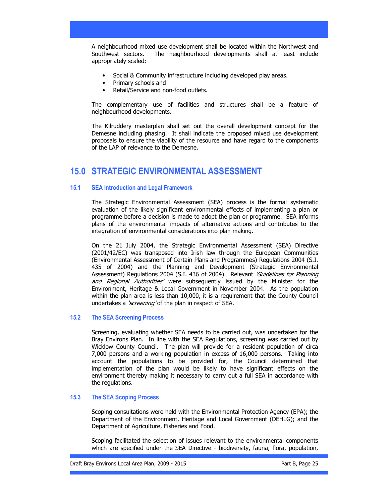A neighbourhood mixed use development shall be located within the Northwest and Southwest sectors. The neighbourhood developments shall at least include appropriately scaled:

- Social & Community infrastructure including developed play areas.
- Primary schools and
- Retail/Service and non-food outlets.

The complementary use of facilities and structures shall be a feature of neighbourhood developments.

The Kilruddery masterplan shall set out the overall development concept for the Demesne including phasing. It shall indicate the proposed mixed use development proposals to ensure the viability of the resource and have regard to the components of the LAP of relevance to the Demesne.

## 15.0 STRATEGIC ENVIRONMENTAL ASSESSMENT

## 15.1 SEA Introduction and Legal Framework

The Strategic Environmental Assessment (SEA) process is the formal systematic evaluation of the likely significant environmental effects of implementing a plan or programme before a decision is made to adopt the plan or programme. SEA informs plans of the environmental impacts of alternative actions and contributes to the integration of environmental considerations into plan making.

On the 21 July 2004, the Strategic Environmental Assessment (SEA) Directive (2001/42/EC) was transposed into Irish law through the European Communities (Environmental Assessment of Certain Plans and Programmes) Regulations 2004 (S.I. 435 of 2004) and the Planning and Development (Strategic Environmental Assessment) Regulations 2004 (S.I. 436 of 2004). Relevant *'Guidelines for Planning* and Regional Authorities' were subsequently issued by the Minister for the Environment, Heritage & Local Government in November 2004. As the population within the plan area is less than 10,000, it is a requirement that the County Council undertakes a 'screening' of the plan in respect of SEA.

## 15.2 The SEA Screening Process

Screening, evaluating whether SEA needs to be carried out, was undertaken for the Bray Environs Plan. In line with the SEA Regulations, screening was carried out by Wicklow County Council. The plan will provide for a resident population of circa 7,000 persons and a working population in excess of 16,000 persons. Taking into account the populations to be provided for, the Council determined that implementation of the plan would be likely to have significant effects on the environment thereby making it necessary to carry out a full SEA in accordance with the regulations.

### 15.3 The SEA Scoping Process

Scoping consultations were held with the Environmental Protection Agency (EPA); the Department of the Environment, Heritage and Local Government (DEHLG); and the Department of Agriculture, Fisheries and Food.

Scoping facilitated the selection of issues relevant to the environmental components which are specified under the SEA Directive - biodiversity, fauna, flora, population,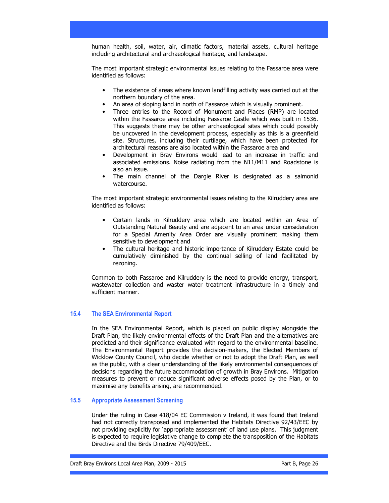human health, soil, water, air, climatic factors, material assets, cultural heritage including architectural and archaeological heritage, and landscape.

The most important strategic environmental issues relating to the Fassaroe area were identified as follows:

- The existence of areas where known landfilling activity was carried out at the northern boundary of the area.
- An area of sloping land in north of Fassaroe which is visually prominent.
- Three entries to the Record of Monument and Places (RMP) are located within the Fassaroe area including Fassaroe Castle which was built in 1536. This suggests there may be other archaeological sites which could possibly be uncovered in the development process, especially as this is a greenfield site. Structures, including their curtilage, which have been protected for architectural reasons are also located within the Fassaroe area and
- Development in Bray Environs would lead to an increase in traffic and associated emissions. Noise radiating from the N11/M11 and Roadstone is also an issue.
- The main channel of the Dargle River is designated as a salmonid watercourse.

The most important strategic environmental issues relating to the Kilruddery area are identified as follows:

- Certain lands in Kilruddery area which are located within an Area of Outstanding Natural Beauty and are adjacent to an area under consideration for a Special Amenity Area Order are visually prominent making them sensitive to development and
- The cultural heritage and historic importance of Kilruddery Estate could be cumulatively diminished by the continual selling of land facilitated by rezoning.

Common to both Fassaroe and Kilruddery is the need to provide energy, transport, wastewater collection and waster water treatment infrastructure in a timely and sufficient manner.

### 15.4 The SEA Environmental Report

In the SEA Environmental Report, which is placed on public display alongside the Draft Plan, the likely environmental effects of the Draft Plan and the alternatives are predicted and their significance evaluated with regard to the environmental baseline. The Environmental Report provides the decision-makers, the Elected Members of Wicklow County Council, who decide whether or not to adopt the Draft Plan, as well as the public, with a clear understanding of the likely environmental consequences of decisions regarding the future accommodation of growth in Bray Environs. Mitigation measures to prevent or reduce significant adverse effects posed by the Plan, or to maximise any benefits arising, are recommended.

### 15.5 Appropriate Assessment Screening

Under the ruling in Case 418/04 EC Commission v Ireland, it was found that Ireland had not correctly transposed and implemented the Habitats Directive 92/43/EEC by not providing explicitly for 'appropriate assessment' of land use plans. This judgment is expected to require legislative change to complete the transposition of the Habitats Directive and the Birds Directive 79/409/EEC.